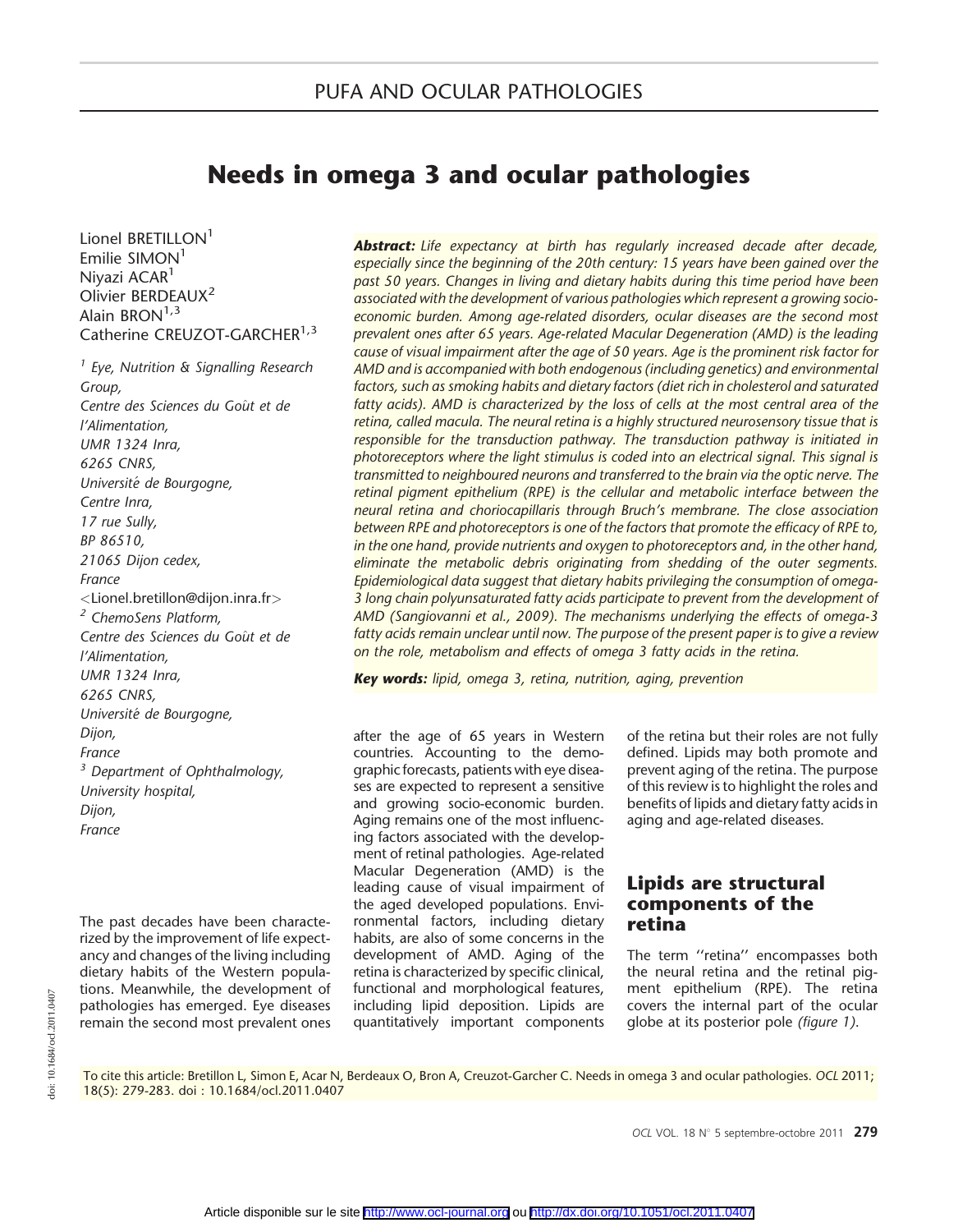# Needs in omega 3 and ocular pathologies

Lionel BRETILLON<sup>1</sup>  $Emilie SIMON<sup>1</sup>$ Nivazi ACAR<sup>1</sup> Olivier BERDFAUX<sup>2</sup> Alain BRON $1,3$ Catherine CREUZOT-GARCHER<sup>1,3</sup>

 $<sup>1</sup>$  Eye, Nutrition & Signalling Research</sup> Group, Centre des Sciences du Goût et de l'Alimentation, UMR 1324 Inra, 6265 CNRS, Université de Bourgogne, Centre Inra, 17 rue Sully, BP 86510, 21065 Dijon cedex, France <Lionel.bretillon@dijon.inra.fr> <sup>2</sup> ChemoSens Platform. Centre des Sciences du Goût et de l'Alimentation, UMR 1324 Inra, 6265 CNRS, Universite de Bourgogne, Dijon, France  $3$  Department of Ophthalmology, University hospital, Dijon, France

The past decades have been characterized by the improvement of life expectancy and changes of the living including dietary habits of the Western populations. Meanwhile, the development of pathologies has emerged. Eye diseases remain the second most prevalent ones

**Abstract:** Life expectancy at birth has regularly increased decade after decade, especially since the beginning of the 20th century: 15 years have been gained over the past 50 years. Changes in living and dietary habits during this time period have been associated with the development of various pathologies which represent a growing socioeconomic burden. Among age-related disorders, ocular diseases are the second most prevalent ones after 65 years. Age-related Macular Degeneration (AMD) is the leading cause of visual impairment after the age of 50 years. Age is the prominent risk factor for AMD and is accompanied with both endogenous (including genetics) and environmental factors, such as smoking habits and dietary factors (diet rich in cholesterol and saturated fatty acids). AMD is characterized by the loss of cells at the most central area of the retina, called macula. The neural retina is a highly structured neurosensory tissue that is responsible for the transduction pathway. The transduction pathway is initiated in photoreceptors where the light stimulus is coded into an electrical signal. This signal is transmitted to neighboured neurons and transferred to the brain via the optic nerve. The retinal pigment epithelium (RPE) is the cellular and metabolic interface between the neural retina and choriocapillaris through Bruch's membrane. The close association between RPE and photoreceptors is one of the factors that promote the efficacy of RPE to, in the one hand, provide nutrients and oxygen to photoreceptors and, in the other hand, eliminate the metabolic debris originating from shedding of the outer segments. Epidemiological data suggest that dietary habits privileging the consumption of omega-3 long chain polyunsaturated fatty acids participate to prevent from the development of AMD (Sangiovanni et al., 2009). The mechanisms underlying the effects of omega-3 fatty acids remain unclear until now. The purpose of the present paper is to give a review on the role, metabolism and effects of omega 3 fatty acids in the retina.

Key words: lipid, omega 3, retina, nutrition, aging, prevention

after the age of 65 years in Western countries. Accounting to the demographic forecasts, patients with eye diseases are expected to represent a sensitive and growing socio-economic burden. Aging remains one of the most influencing factors associated with the development of retinal pathologies. Age-related Macular Degeneration (AMD) is the leading cause of visual impairment of the aged developed populations. Environmental factors, including dietary habits, are also of some concerns in the development of AMD. Aging of the retina is characterized by specific clinical, functional and morphological features, including lipid deposition. Lipids are quantitatively important components of the retina but their roles are not fully defined. Lipids may both promote and prevent aging of the retina. The purpose of this review is to highlight the roles and benefits of lipids and dietary fatty acids in aging and age-related diseases.

### Lipids are structural components of the retina

The term "retina" encompasses both the neural retina and the retinal pigment epithelium (RPE). The retina covers the internal part of the ocular globe at its posterior pole (figure 1).

To cite this article: Bretillon L, Simon E, Acar N, Berdeaux O, Bron A, Creuzot-Garcher C. Needs in omega 3 and ocular pathologies. OCL 2011; 18(5): 279-283. doi : 10.1684/ocl.2011.0407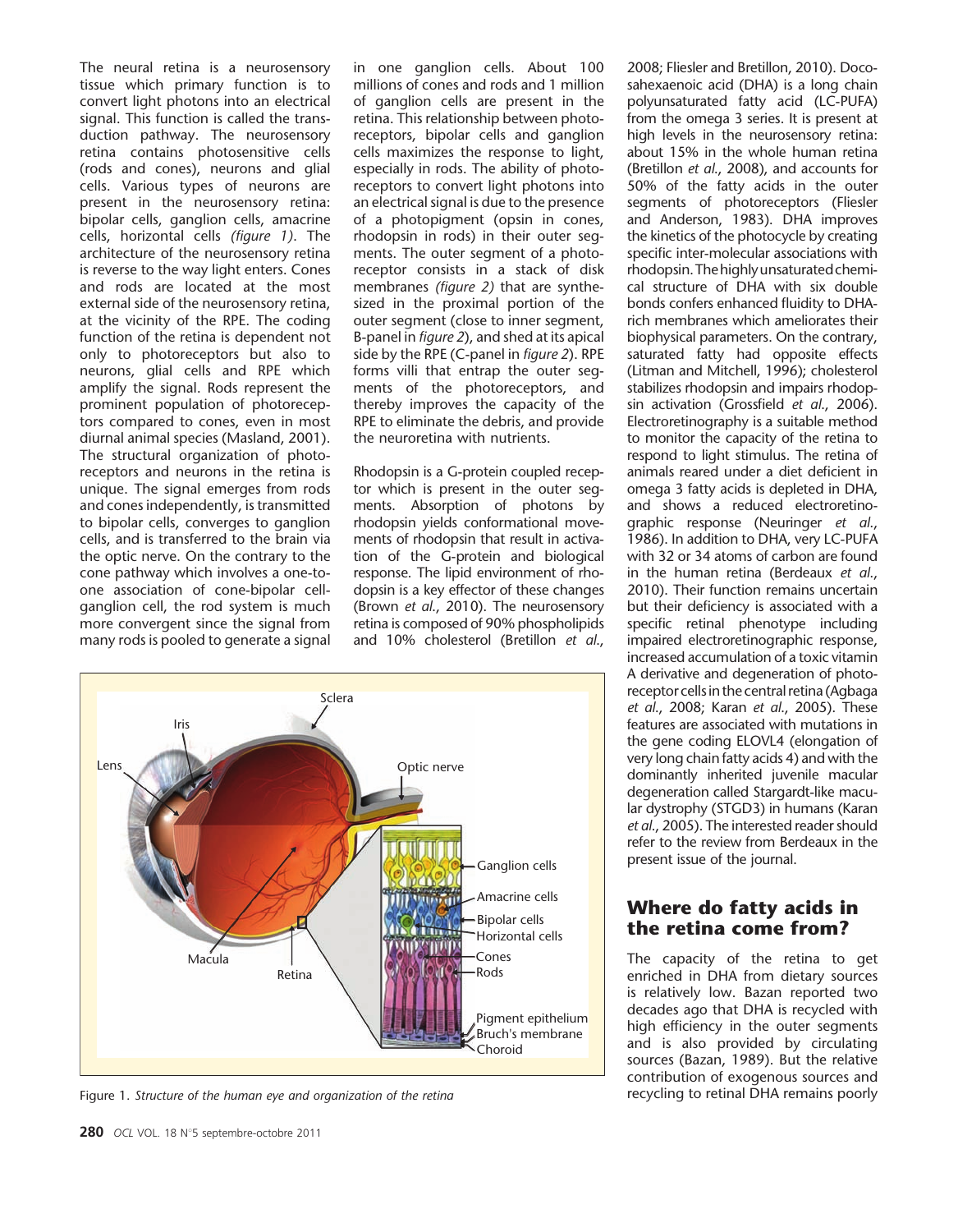The neural retina is a neurosensory tissue which primary function is to convert light photons into an electrical signal. This function is called the transduction pathway. The neurosensory retina contains photosensitive cells (rods and cones), neurons and glial cells. Various types of neurons are present in the neurosensory retina: bipolar cells, ganglion cells, amacrine cells, horizontal cells (figure 1). The architecture of the neurosensory retina is reverse to the way light enters. Cones and rods are located at the most external side of the neurosensory retina, at the vicinity of the RPE. The coding function of the retina is dependent not only to photoreceptors but also to neurons, glial cells and RPE which amplify the signal. Rods represent the prominent population of photoreceptors compared to cones, even in most diurnal animal species (Masland, 2001). The structural organization of photoreceptors and neurons in the retina is unique. The signal emerges from rods and cones independently, is transmitted to bipolar cells, converges to ganglion cells, and is transferred to the brain via the optic nerve. On the contrary to the cone pathway which involves a one-toone association of cone-bipolar cellganglion cell, the rod system is much more convergent since the signal from many rods is pooled to generate a signal

in one ganglion cells. About 100 millions of cones and rods and 1 million of ganglion cells are present in the retina. This relationship between photoreceptors, bipolar cells and ganglion cells maximizes the response to light, especially in rods. The ability of photoreceptors to convert light photons into an electrical signal is due to the presence of a photopigment (opsin in cones, rhodopsin in rods) in their outer segments. The outer segment of a photoreceptor consists in a stack of disk membranes (figure 2) that are synthesized in the proximal portion of the outer segment (close to inner segment, B-panel in figure 2), and shed at its apical side by the RPE (C-panel in figure 2). RPE forms villi that entrap the outer segments of the photoreceptors, and thereby improves the capacity of the RPE to eliminate the debris, and provide the neuroretina with nutrients.

Rhodopsin is a G-protein coupled receptor which is present in the outer segments. Absorption of photons by rhodopsin yields conformational movements of rhodopsin that result in activation of the G-protein and biological response. The lipid environment of rhodopsin is a key effector of these changes (Brown et al., 2010). The neurosensory retina is composed of 90% phospholipids and 10% cholesterol (Bretillon et al.,



Figure 1. Structure of the human eye and organization of the retina

2008; Fliesler and Bretillon, 2010). Docosahexaenoic acid (DHA) is a long chain polyunsaturated fatty acid (LC-PUFA) from the omega 3 series. It is present at high levels in the neurosensory retina: about 15% in the whole human retina (Bretillon et al., 2008), and accounts for 50% of the fatty acids in the outer segments of photoreceptors (Fliesler and Anderson, 1983). DHA improves the kinetics of the photocycle by creating specific inter-molecular associations with rhodopsin.Thehighlyunsaturatedchemical structure of DHA with six double bonds confers enhanced fluidity to DHArich membranes which ameliorates their biophysical parameters. On the contrary, saturated fatty had opposite effects (Litman and Mitchell, 1996); cholesterol stabilizes rhodopsin and impairs rhodopsin activation (Grossfield et al., 2006). Electroretinography is a suitable method to monitor the capacity of the retina to respond to light stimulus. The retina of animals reared under a diet deficient in omega 3 fatty acids is depleted in DHA, and shows a reduced electroretinographic response (Neuringer et al., 1986). In addition to DHA, very LC-PUFA with 32 or 34 atoms of carbon are found in the human retina (Berdeaux et al., 2010). Their function remains uncertain but their deficiency is associated with a specific retinal phenotype including impaired electroretinographic response, increased accumulation of a toxic vitamin A derivative and degeneration of photoreceptor cells in the central retina (Agbaga et al., 2008; Karan et al., 2005). These features are associated with mutations in the gene coding ELOVL4 (elongation of very long chain fatty acids 4) and with the dominantly inherited juvenile macular degeneration called Stargardt-like macular dystrophy (STGD3) in humans (Karan et al., 2005). The interested reader should refer to the review from Berdeaux in the present issue of the journal.

## Where do fatty acids in the retina come from?

The capacity of the retina to get enriched in DHA from dietary sources is relatively low. Bazan reported two decades ago that DHA is recycled with high efficiency in the outer segments and is also provided by circulating sources (Bazan, 1989). But the relative contribution of exogenous sources and recycling to retinal DHA remains poorly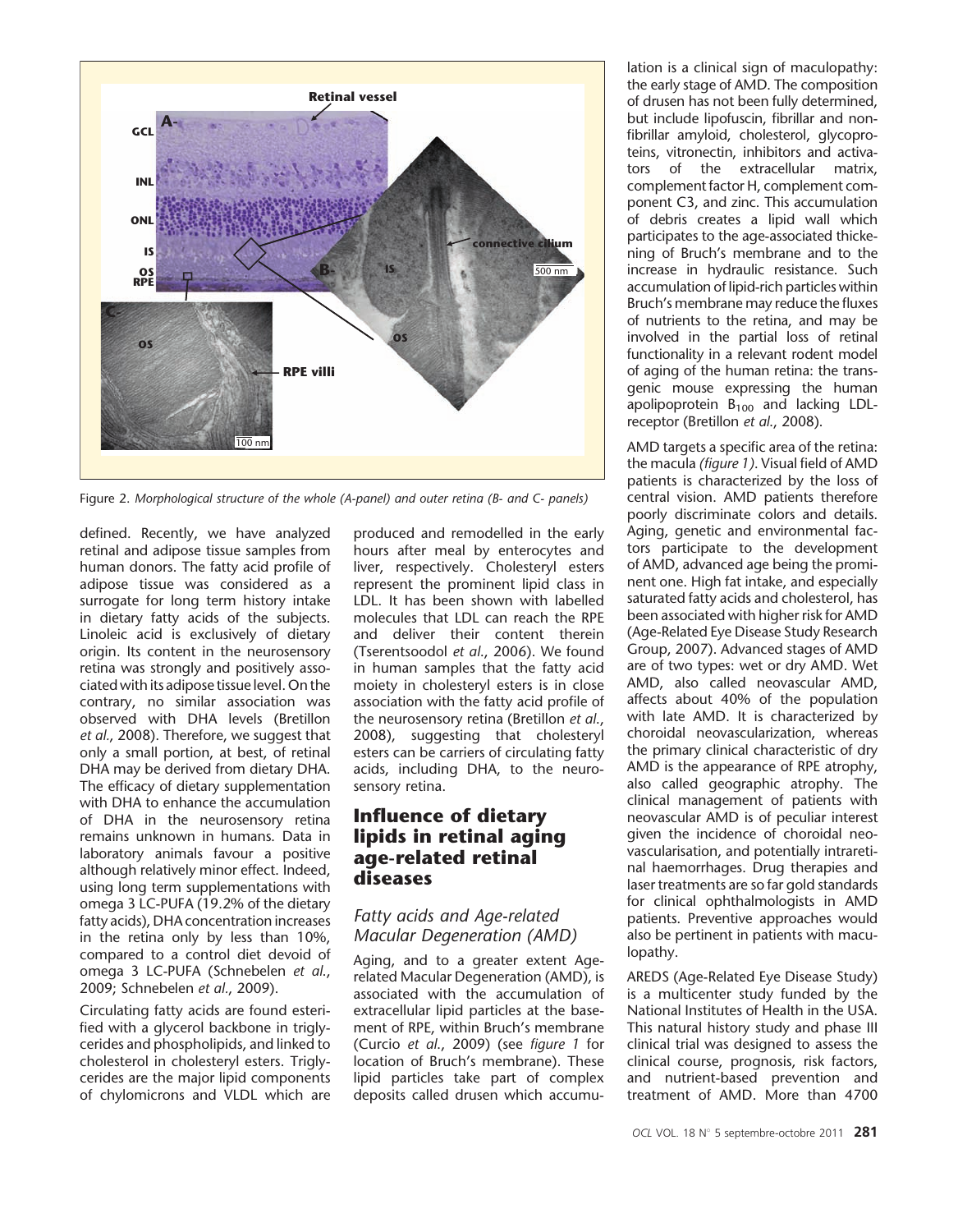

Figure 2. Morphological structure of the whole (A-panel) and outer retina (B- and C- panels)

defined. Recently, we have analyzed retinal and adipose tissue samples from human donors. The fatty acid profile of adipose tissue was considered as a surrogate for long term history intake in dietary fatty acids of the subjects. Linoleic acid is exclusively of dietary origin. Its content in the neurosensory retina was strongly and positively associated with its adipose tissue level. On the contrary, no similar association was observed with DHA levels (Bretillon et al., 2008). Therefore, we suggest that only a small portion, at best, of retinal DHA may be derived from dietary DHA. The efficacy of dietary supplementation with DHA to enhance the accumulation of DHA in the neurosensory retina remains unknown in humans. Data in laboratory animals favour a positive although relatively minor effect. Indeed, using long term supplementations with omega 3 LC-PUFA (19.2% of the dietary fatty acids), DHA concentration increases in the retina only by less than 10%, compared to a control diet devoid of omega 3 LC-PUFA (Schnebelen et al., 2009; Schnebelen et al., 2009).

Circulating fatty acids are found esterified with a glycerol backbone in triglycerides and phospholipids, and linked to cholesterol in cholesteryl esters. Triglycerides are the major lipid components of chylomicrons and VLDL which are

produced and remodelled in the early hours after meal by enterocytes and liver, respectively. Cholesteryl esters represent the prominent lipid class in LDL. It has been shown with labelled molecules that LDL can reach the RPE and deliver their content therein (Tserentsoodol et al., 2006). We found in human samples that the fatty acid moiety in cholesteryl esters is in close association with the fatty acid profile of the neurosensory retina (Bretillon et al., 2008), suggesting that cholesteryl esters can be carriers of circulating fatty acids, including DHA, to the neurosensory retina.

## Influence of dietary lipids in retinal aging age-related retinal diseases

#### Fatty acids and Age-related Macular Degeneration (AMD)

Aging, and to a greater extent Agerelated Macular Degeneration (AMD), is associated with the accumulation of extracellular lipid particles at the basement of RPE, within Bruch's membrane (Curcio et al., 2009) (see figure 1 for location of Bruch's membrane). These lipid particles take part of complex deposits called drusen which accumulation is a clinical sign of maculopathy: the early stage of AMD. The composition of drusen has not been fully determined, but include lipofuscin, fibrillar and nonfibrillar amyloid, cholesterol, glycoproteins, vitronectin, inhibitors and activators of the extracellular matrix, complement factor H, complement component C3, and zinc. This accumulation of debris creates a lipid wall which participates to the age-associated thickening of Bruch's membrane and to the increase in hydraulic resistance. Such accumulation of lipid-rich particles within Bruch's membrane may reduce the fluxes of nutrients to the retina, and may be involved in the partial loss of retinal functionality in a relevant rodent model of aging of the human retina: the transgenic mouse expressing the human apolipoprotein  $B_{100}$  and lacking LDLreceptor (Bretillon et al., 2008).

AMD targets a specific area of the retina: the macula (figure 1). Visual field of AMD patients is characterized by the loss of central vision. AMD patients therefore poorly discriminate colors and details. Aging, genetic and environmental factors participate to the development of AMD, advanced age being the prominent one. High fat intake, and especially saturated fatty acids and cholesterol, has been associated with higher risk for AMD (Age-Related Eye Disease Study Research Group, 2007). Advanced stages of AMD are of two types: wet or dry AMD. Wet AMD, also called neovascular AMD, affects about 40% of the population with late AMD. It is characterized by choroidal neovascularization, whereas the primary clinical characteristic of dry AMD is the appearance of RPE atrophy, also called geographic atrophy. The clinical management of patients with neovascular AMD is of peculiar interest given the incidence of choroidal neovascularisation, and potentially intraretinal haemorrhages. Drug therapies and laser treatments are so far gold standards for clinical ophthalmologists in AMD patients. Preventive approaches would also be pertinent in patients with maculopathy.

AREDS (Age-Related Eye Disease Study) is a multicenter study funded by the National Institutes of Health in the USA. This natural history study and phase III clinical trial was designed to assess the clinical course, prognosis, risk factors, and nutrient-based prevention and treatment of AMD. More than 4700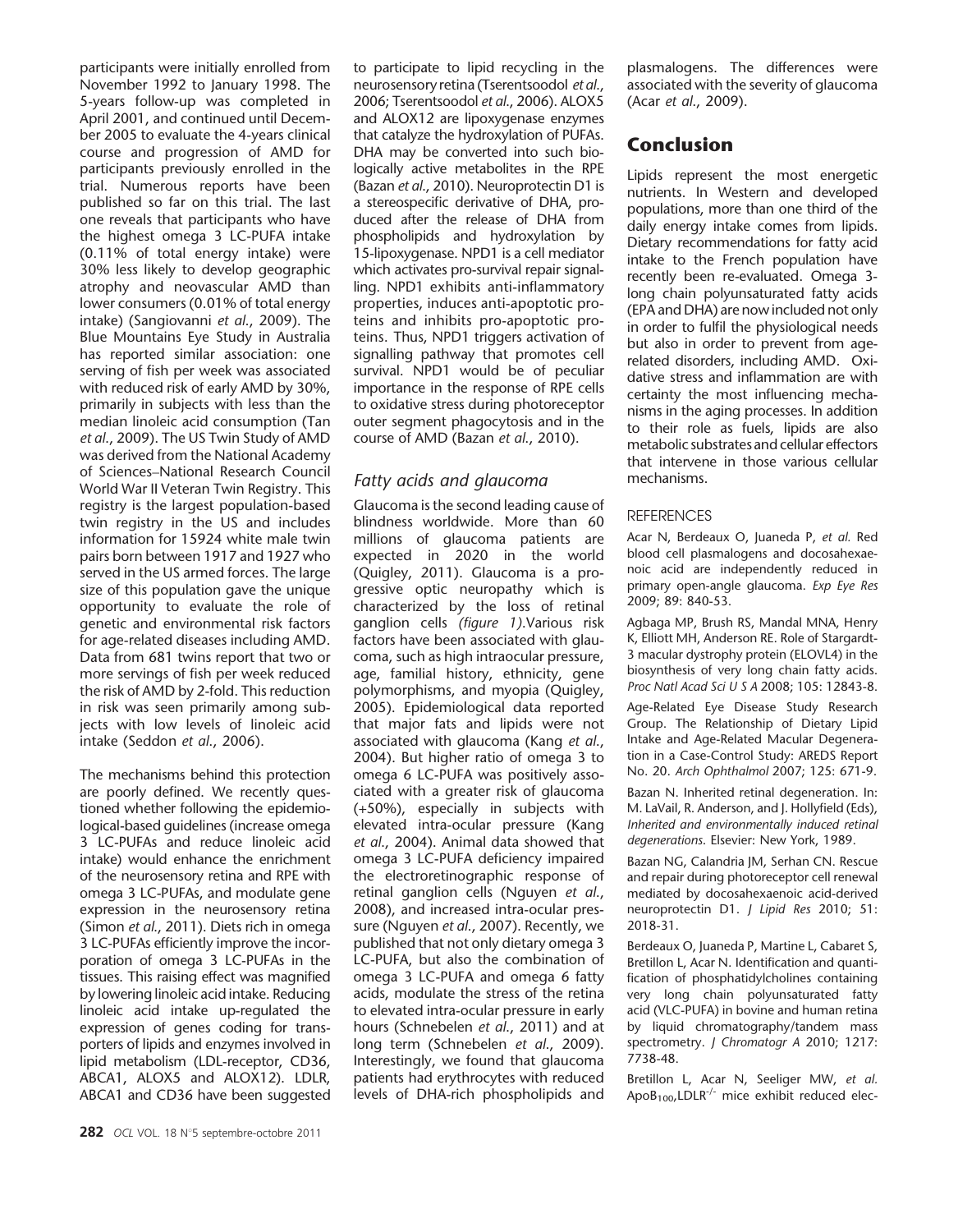participants were initially enrolled from November 1992 to January 1998. The 5-years follow-up was completed in April 2001, and continued until December 2005 to evaluate the 4-years clinical course and progression of AMD for participants previously enrolled in the trial. Numerous reports have been published so far on this trial. The last one reveals that participants who have the highest omega 3 LC-PUFA intake (0.11% of total energy intake) were 30% less likely to develop geographic atrophy and neovascular AMD than lower consumers (0.01% of total energy intake) (Sangiovanni et al., 2009). The Blue Mountains Eye Study in Australia has reported similar association: one serving of fish per week was associated with reduced risk of early AMD by 30%, primarily in subjects with less than the median linoleic acid consumption (Tan et al., 2009). The US Twin Study of AMD was derived from the National Academy of Sciences*–*National Research Council World War II Veteran Twin Registry. This registry is the largest population-based twin registry in the US and includes information for 15924 white male twin pairs born between 1917 and 1927 who served in the US armed forces. The large size of this population gave the unique opportunity to evaluate the role of genetic and environmental risk factors for age-related diseases including AMD. Data from 681 twins report that two or more servings of fish per week reduced the risk of AMD by 2-fold. This reduction in risk was seen primarily among subjects with low levels of linoleic acid intake (Seddon et al., 2006).

The mechanisms behind this protection are poorly defined. We recently questioned whether following the epidemiological-based guidelines (increase omega 3 LC-PUFAs and reduce linoleic acid intake) would enhance the enrichment of the neurosensory retina and RPE with omega 3 LC-PUFAs, and modulate gene expression in the neurosensory retina (Simon et al., 2011). Diets rich in omega 3 LC-PUFAs efficiently improve the incorporation of omega 3 LC-PUFAs in the tissues. This raising effect was magnified by lowering linoleic acid intake. Reducing linoleic acid intake up-regulated the expression of genes coding for transporters of lipids and enzymes involved in lipid metabolism (LDL-receptor, CD36, ABCA1, ALOX5 and ALOX12). LDLR, ABCA1 and CD36 have been suggested

282 OCL VOL. 18 N°5 septembre-octobre 2011

to participate to lipid recycling in the neurosensory retina (Tserentsoodol et al., 2006; Tserentsoodol et al., 2006). ALOX5 and ALOX12 are lipoxygenase enzymes that catalyze the hydroxylation of PUFAs. DHA may be converted into such biologically active metabolites in the RPE (Bazan et al., 2010). Neuroprotectin D1 is a stereospecific derivative of DHA, produced after the release of DHA from phospholipids and hydroxylation by 15-lipoxygenase. NPD1 is a cell mediator which activates pro-survival repair signalling. NPD1 exhibits anti-inflammatory properties, induces anti-apoptotic proteins and inhibits pro-apoptotic proteins. Thus, NPD1 triggers activation of signalling pathway that promotes cell survival. NPD1 would be of peculiar importance in the response of RPE cells to oxidative stress during photoreceptor outer segment phagocytosis and in the course of AMD (Bazan et al., 2010).

#### Fatty acids and glaucoma

Glaucoma is the second leading cause of blindness worldwide. More than 60 millions of glaucoma patients are expected in 2020 in the world (Quigley, 2011). Glaucoma is a progressive optic neuropathy which is characterized by the loss of retinal ganglion cells (figure 1).Various risk factors have been associated with glaucoma, such as high intraocular pressure, age, familial history, ethnicity, gene polymorphisms, and myopia (Quigley, 2005). Epidemiological data reported that major fats and lipids were not associated with glaucoma (Kang et al., 2004). But higher ratio of omega 3 to omega 6 LC-PUFA was positively associated with a greater risk of glaucoma (+50%), especially in subjects with elevated intra-ocular pressure (Kang et al., 2004). Animal data showed that omega 3 LC-PUFA deficiency impaired the electroretinographic response of retinal ganglion cells (Nguyen et al., 2008), and increased intra-ocular pressure (Nguyen et al., 2007). Recently, we published that not only dietary omega 3 LC-PUFA, but also the combination of omega 3 LC-PUFA and omega 6 fatty acids, modulate the stress of the retina to elevated intra-ocular pressure in early hours (Schnebelen et al., 2011) and at long term (Schnebelen et al., 2009). Interestingly, we found that glaucoma patients had erythrocytes with reduced levels of DHA-rich phospholipids and

plasmalogens. The differences were associated with the severity of glaucoma (Acar et al., 2009).

# Conclusion

Lipids represent the most energetic nutrients. In Western and developed populations, more than one third of the daily energy intake comes from lipids. Dietary recommendations for fatty acid intake to the French population have recently been re-evaluated. Omega 3 long chain polyunsaturated fatty acids (EPA and DHA) are now included not only in order to fulfil the physiological needs but also in order to prevent from agerelated disorders, including AMD. Oxidative stress and inflammation are with certainty the most influencing mechanisms in the aging processes. In addition to their role as fuels, lipids are also metabolic substrates and cellular effectors that intervene in those various cellular mechanisms.

#### **REFERENCES**

Acar N, Berdeaux O, Juaneda P, et al. Red blood cell plasmalogens and docosahexaenoic acid are independently reduced in primary open-angle glaucoma. Exp Eye Res 2009; 89: 840-53.

Agbaga MP, Brush RS, Mandal MNA, Henry K, Elliott MH, Anderson RE. Role of Stargardt-3 macular dystrophy protein (ELOVL4) in the biosynthesis of very long chain fatty acids. Proc Natl Acad Sci U S A 2008; 105: 12843-8.

Age-Related Eye Disease Study Research Group. The Relationship of Dietary Lipid Intake and Age-Related Macular Degeneration in a Case-Control Study: AREDS Report No. 20. Arch Ophthalmol 2007; 125: 671-9.

Bazan N. Inherited retinal degeneration. In: M. LaVail, R. Anderson, and J. Hollyfield (Eds), Inherited and environmentally induced retinal degenerations. Elsevier: New York, 1989.

Bazan NG, Calandria JM, Serhan CN. Rescue and repair during photoreceptor cell renewal mediated by docosahexaenoic acid-derived neuroprotectin D1. J Lipid Res 2010; 51: 2018-31.

Berdeaux O, Juaneda P, Martine L, Cabaret S, Bretillon L, Acar N. Identification and quantification of phosphatidylcholines containing very long chain polyunsaturated fatty acid (VLC-PUFA) in bovine and human retina by liquid chromatography/tandem mass spectrometry. *J Chromatogr A 2010*; 1217: 7738-48.

Bretillon L, Acar N, Seeliger MW, et al. ApoB<sub>100</sub>, LDLR<sup>-/-</sup> mice exhibit reduced elec